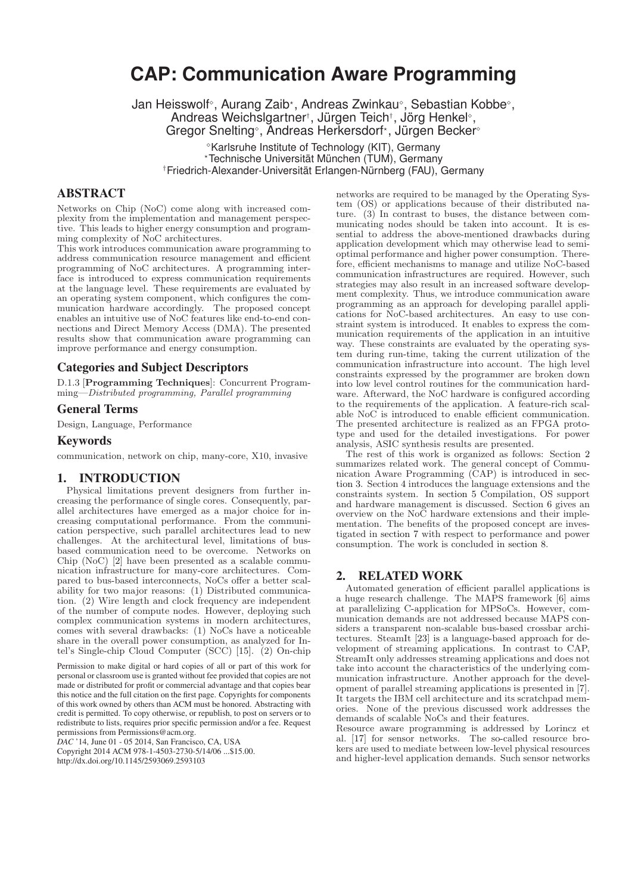# **CAP: Communication Aware Programming**

Jan Heisswolf<sup>。</sup>, Aurang Zaib\*, Andreas Zwinkau°, Sebastian Kobbe°, Andreas Weichslgartner<sup>†</sup>, Jürgen Teich<sup>†</sup>, Jörg Henkel<sup>®</sup>, Gregor Snelting<sup>®</sup>, Andreas Herkersdorf<sup>\*</sup>, Jürgen Becker<sup>®</sup> -Karlsruhe Institute of Technology (KIT), Germany

-Technische Universität München (TUM), Germany

†Friedrich-Alexander-Universität Erlangen-Nürnberg (FAU), Germany

# ABSTRACT

Networks on Chip (NoC) come along with increased complexity from the implementation and management perspective. This leads to higher energy consumption and programming complexity of NoC architectures.

This work introduces communication aware programming to address communication resource management and efficient programming of NoC architectures. A programming interface is introduced to express communication requirements at the language level. These requirements are evaluated by an operating system component, which configures the communication hardware accordingly. The proposed concept enables an intuitive use of NoC features like end-to-end connections and Direct Memory Access (DMA). The presented results show that communication aware programming can improve performance and energy consumption.

## Categories and Subject Descriptors

D.1.3 [**Programming Techniques**]: Concurrent Programming—Distributed programming, Parallel programming

## General Terms

Design, Language, Performance

#### Keywords

communication, network on chip, many-core, X10, invasive

#### 1. INTRODUCTION

Physical limitations prevent designers from further increasing the performance of single cores. Consequently, parallel architectures have emerged as a major choice for increasing computational performance. From the communication perspective, such parallel architectures lead to new challenges. At the architectural level, limitations of busbased communication need to be overcome. Networks on Chip (NoC) [2] have been presented as a scalable communication infrastructure for many-core architectures. Compared to bus-based interconnects, NoCs offer a better scalability for two major reasons: (1) Distributed communication. (2) Wire length and clock frequency are independent of the number of compute nodes. However, deploying such complex communication systems in modern architectures, comes with several drawbacks: (1) NoCs have a noticeable share in the overall power consumption, as analyzed for Intel's Single-chip Cloud Computer (SCC) [15]. (2) On-chip

Permission to make digital or hard copies of all or part of this work for personal or classroom use is granted without fee provided that copies are not made or distributed for profit or commercial advantage and that copies bear this notice and the full citation on the first page. Copyrights for components of this work owned by others than ACM must be honored. Abstracting with credit is permitted. To copy otherwise, or republish, to post on servers or to redistribute to lists, requires prior specific permission and/or a fee. Request permissions from Permissions@acm.org.

*DAC* '14, June 01 - 05 2014, San Francisco, CA, USA

Copyright 2014 ACM 978-1-4503-2730-5/14/06 ...\$15.00. http://dx.doi.org/10.1145/2593069.2593103

networks are required to be managed by the Operating System (OS) or applications because of their distributed nature.  $(3)$  In contrast to buses, the distance between communicating nodes should be taken into account. It is essential to address the above-mentioned drawbacks during application development which may otherwise lead to semioptimal performance and higher power consumption. Therefore, efficient mechanisms to manage and utilize NoC-based communication infrastructures are required. However, such strategies may also result in an increased software development complexity. Thus, we introduce communication aware programming as an approach for developing parallel applications for NoC-based architectures. An easy to use constraint system is introduced. It enables to express the communication requirements of the application in an intuitive way. These constraints are evaluated by the operating system during run-time, taking the current utilization of the communication infrastructure into account. The high level constraints expressed by the programmer are broken down into low level control routines for the communication hardware. Afterward, the NoC hardware is configured according to the requirements of the application. A feature-rich scalable NoC is introduced to enable efficient communication. The presented architecture is realized as an FPGA prototype and used for the detailed investigations. For power analysis, ASIC synthesis results are presented.

The rest of this work is organized as follows: Section 2 summarizes related work. The general concept of Communication Aware Programming (CAP) is introduced in section 3. Section 4 introduces the language extensions and the constraints system. In section 5 Compilation, OS support and hardware management is discussed. Section 6 gives an overview on the NoC hardware extensions and their implementation. The benefits of the proposed concept are investigated in section 7 with respect to performance and power consumption. The work is concluded in section 8.

# 2. RELATED WORK

Automated generation of efficient parallel applications is a huge research challenge. The MAPS framework [6] aims at parallelizing C-application for MPSoCs. However, communication demands are not addressed because MAPS considers a transparent non-scalable bus-based crossbar architectures. SteamIt [23] is a language-based approach for development of streaming applications. In contrast to CAP, StreamIt only addresses streaming applications and does not take into account the characteristics of the underlying communication infrastructure. Another approach for the development of parallel streaming applications is presented in [7]. It targets the IBM cell architecture and its scratchpad memories. None of the previous discussed work addresses the demands of scalable NoCs and their features.

Resource aware programming is addressed by Lorincz et al. [17] for sensor networks. The so-called resource brokers are used to mediate between low-level physical resources and higher-level application demands. Such sensor networks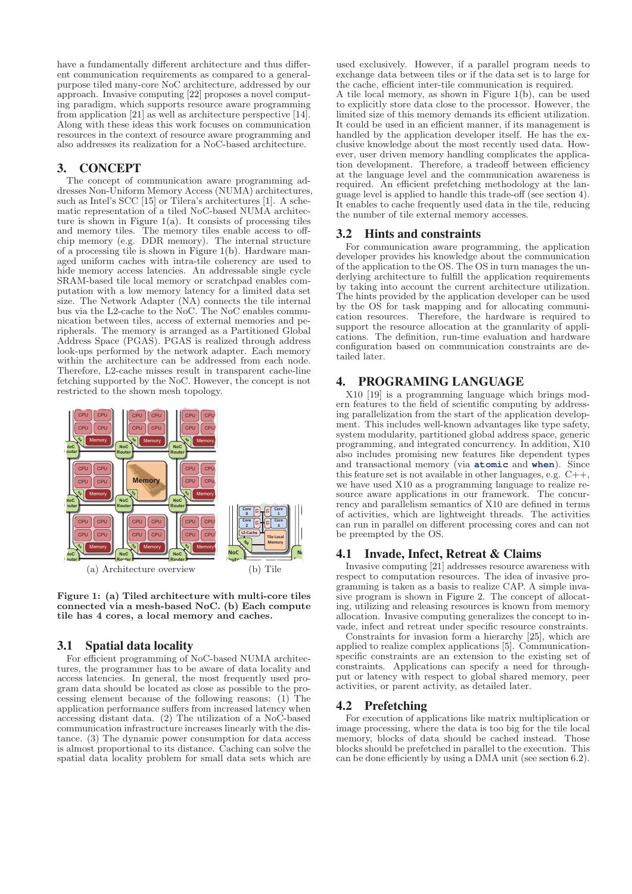have a fundamentally different architecture and thus different communication requirements as compared to a generalpurpose tiled many-core NoC architecture, addressed by our approach. Invasive computing [22] proposes a novel computing paradigm, which supports resource aware programming from application [21] as well as architecture perspective [14]. Along with these ideas this work focuses on communication resources in the context of resource aware programming and also addresses its realization for a NoC-based architecture.

# 3. CONCEPT

The concept of communication aware programming addresses Non-Uniform Memory Access (NUMA) architectures, such as Intel's SCC [15] or Tilera's architectures [1]. A schematic representation of a tiled NoC-based NUMA architecture is shown in Figure 1(a). It consists of processing tiles and memory tiles. The memory tiles enable access to offchip memory (e.g. DDR memory). The internal structure of a processing tile is shown in Figure 1(b). Hardware managed uniform caches with intra-tile coherency are used to hide memory access latencies. An addressable single cycle SRAM-based tile local memory or scratchpad enables computation with a low memory latency for a limited data set size. The Network Adapter (NA) connects the tile internal bus via the L2-cache to the NoC. The NoC enables communication between tiles, access of external memories and peripherals. The memory is arranged as a Partitioned Global Address Space (PGAS). PGAS is realized through address look-ups performed by the network adapter. Each memory within the architecture can be addressed from each node. Therefore, L2-cache misses result in transparent cache-line fetching supported by the NoC. However, the concept is not restricted to the shown mesh topology.



**Figure 1: (a) Tiled architecture with multi-core tiles connected via a mesh-based NoC. (b) Each compute tile has 4 cores, a local memory and caches.**

# 3.1 Spatial data locality

For efficient programming of NoC-based NUMA architectures, the programmer has to be aware of data locality and access latencies. In general, the most frequently used program data should be located as close as possible to the processing element because of the following reasons: (1) The application performance suffers from increased latency when accessing distant data. (2) The utilization of a NoC-based communication infrastructure increases linearly with the distance. (3) The dynamic power consumption for data access is almost proportional to its distance. Caching can solve the spatial data locality problem for small data sets which are

used exclusively. However, if a parallel program needs to exchange data between tiles or if the data set is to large for the cache, efficient inter-tile communication is required. A tile local memory, as shown in Figure 1(b), can be used to explicitly store data close to the processor. However, the limited size of this memory demands its efficient utilization. It could be used in an efficient manner, if its management is handled by the application developer itself. He has the exclusive knowledge about the most recently used data. However, user driven memory handling complicates the application development. Therefore, a tradeoff between efficiency at the language level and the communication awareness is required. An efficient prefetching methodology at the language level is applied to handle this trade-off (see section 4). It enables to cache frequently used data in the tile, reducing the number of tile external memory accesses.

## 3.2 Hints and constraints

For communication aware programming, the application developer provides his knowledge about the communication of the application to the OS. The OS in turn manages the underlying architecture to fulfill the application requirements by taking into account the current architecture utilization. The hints provided by the application developer can be used by the OS for task mapping and for allocating communication resources. Therefore, the hardware is required to support the resource allocation at the granularity of applications. The definition, run-time evaluation and hardware configuration based on communication constraints are detailed later.

# 4. PROGRAMING LANGUAGE

X10 [19] is a programming language which brings modern features to the field of scientific computing by addressing parallelization from the start of the application development. This includes well-known advantages like type safety, system modularity, partitioned global address space, generic programming, and integrated concurrency. In addition, X10 also includes promising new features like dependent types and transactional memory (via **atomic** and **when**). Since this feature set is not available in other languages, e.g.  $C++$ , we have used X10 as a programming language to realize resource aware applications in our framework. The concurrency and parallelism semantics of X10 are defined in terms of activities, which are lightweight threads. The activities can run in parallel on different processing cores and can not be preempted by the OS.

## 4.1 Invade, Infect, Retreat & Claims

Invasive computing [21] addresses resource awareness with respect to computation resources. The idea of invasive programming is taken as a basis to realize CAP. A simple invasive program is shown in Figure 2. The concept of allocating, utilizing and releasing resources is known from memory allocation. Invasive computing generalizes the concept to invade, infect and retreat under specific resource constraints.

Constraints for invasion form a hierarchy [25], which are applied to realize complex applications [5]. Communicationspecific constraints are an extension to the existing set of constraints. Applications can specify a need for throughput or latency with respect to global shared memory, peer activities, or parent activity, as detailed later.

#### 4.2 Prefetching

For execution of applications like matrix multiplication or image processing, where the data is too big for the tile local memory, blocks of data should be cached instead. Those blocks should be prefetched in parallel to the execution. This can be done efficiently by using a DMA unit (see section 6.2).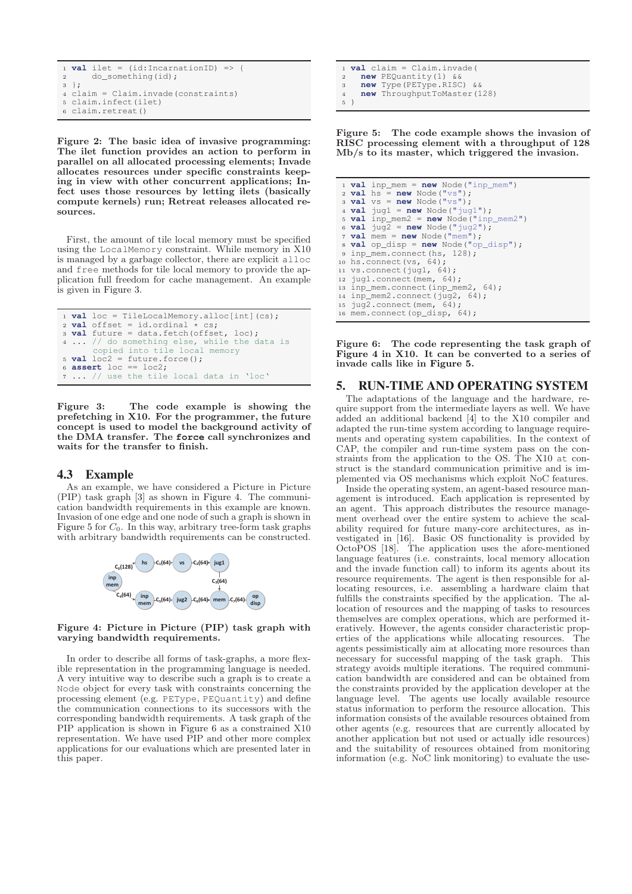```
1 val ilet = (id:IncarinationID) => {<br>2 do something(id) :
       do_something(id);
3 };
4 claim = Claim.invade(constraints)
5 claim.infect(ilet)
6 claim.retreat()
```
**Figure 2: The basic idea of invasive programming: The ilet function provides an action to perform in parallel on all allocated processing elements; Invade allocates resources under specific constraints keeping in view with other concurrent applications; Infect uses those resources by letting ilets (basically compute kernels) run; Retreat releases allocated resources.**

First, the amount of tile local memory must be specified using the LocalMemory constraint. While memory in X10 is managed by a garbage collector, there are explicit alloc and free methods for tile local memory to provide the application full freedom for cache management. An example is given in Figure 3.

```
1 val loc = TileLocalMemory.alloc(int](cs);<br>2 val offset = id.ordinal * cs;
2 val offset = id.ordinal * cs;
3 val future = data.fetch(offset, loc);
4 ... // do something else, while the data is
       copied into tile local memory

6 assert loc == loc2;
7 ... // use the tile local data in 'loc'
```
**Figure 3: The code example is showing the prefetching in X10. For the programmer, the future concept is used to model the background activity of the DMA transfer. The force call synchronizes and waits for the transfer to finish.**

#### 4.3 Example

As an example, we have considered a Picture in Picture (PIP) task graph [3] as shown in Figure 4. The communication bandwidth requirements in this example are known. Invasion of one edge and one node of such a graph is shown in Figure 5 for  $C_0$ . In this way, arbitrary tree-form task graphs with arbitrary bandwidth requirements can be constructed.



**Figure 4: Picture in Picture (PIP) task graph with varying bandwidth requirements.**

In order to describe all forms of task-graphs, a more flexible representation in the programming language is needed. A very intuitive way to describe such a graph is to create a Node object for every task with constraints concerning the processing element (e.g. PEType, PEQuantity) and define the communication connections to its successors with the corresponding bandwidth requirements. A task graph of the PIP application is shown in Figure 6 as a constrained X10 representation. We have used PIP and other more complex applications for our evaluations which are presented later in this paper.

1 **val** claim = Claim.invade( $\frac{1}{2}$  **new** PEQuantity(1) & **new** PEQuantity(1) <sup>3</sup> **new** Type(PEType.RISC) && <sup>4</sup> **new** ThroughputToMaster(128) <sup>5</sup> )

**Figure 5: The code example shows the invasion of RISC processing element with a throughput of 128 Mb/s to its master, which triggered the invasion.**

```
1 val inp_mem = new Node("inp_mem")
 \overline{\mathbf{r}} val hs = new Node("vs");
 3 val vs = new Node("vs");
 4 val jug1 = new Node("jug1");
 5 val inp_mem2 = new Node("inp_mem2")
 6 val jug2 = new Node("jug2");
 7 val mem = new Node("mem");
 8 val op_disp = new Node("op_disp");<br>a inp mem.connect(hs. 128):
  inp_mem.connect(hs, 128);
10 hs.connect(vs, 64);
11 vs.connect(jug1, 64);
12 jug1.connect(mem, 64);
13 inp_mem.connect(inp_mem2, 64);
14 inp_mem2.connect(jug2, 64);
15 jug2.connect(mem, 64);
16 mem.connect(op_disp, 64);
```
**Figure 6: The code representing the task graph of Figure 4 in X10. It can be converted to a series of invade calls like in Figure 5.**

#### 5. RUN-TIME AND OPERATING SYSTEM

The adaptations of the language and the hardware, require support from the intermediate layers as well. We have added an additional backend [4] to the X10 compiler and adapted the run-time system according to language requirements and operating system capabilities. In the context of CAP, the compiler and run-time system pass on the constraints from the application to the OS. The X10 at construct is the standard communication primitive and is implemented via OS mechanisms which exploit NoC features.

Inside the operating system, an agent-based resource management is introduced. Each application is represented by an agent. This approach distributes the resource management overhead over the entire system to achieve the scalability required for future many-core architectures, as investigated in [16]. Basic OS functionality is provided by OctoPOS [18]. The application uses the afore-mentioned language features (i.e. constraints, local memory allocation and the invade function call) to inform its agents about its resource requirements. The agent is then responsible for allocating resources, i.e. assembling a hardware claim that fulfills the constraints specified by the application. The allocation of resources and the mapping of tasks to resources themselves are complex operations, which are performed iteratively. However, the agents consider characteristic properties of the applications while allocating resources. The agents pessimistically aim at allocating more resources than necessary for successful mapping of the task graph. This strategy avoids multiple iterations. The required communication bandwidth are considered and can be obtained from the constraints provided by the application developer at the language level. The agents use locally available resource status information to perform the resource allocation. This information consists of the available resources obtained from other agents (e.g. resources that are currently allocated by another application but not used or actually idle resources) and the suitability of resources obtained from monitoring information (e.g. NoC link monitoring) to evaluate the use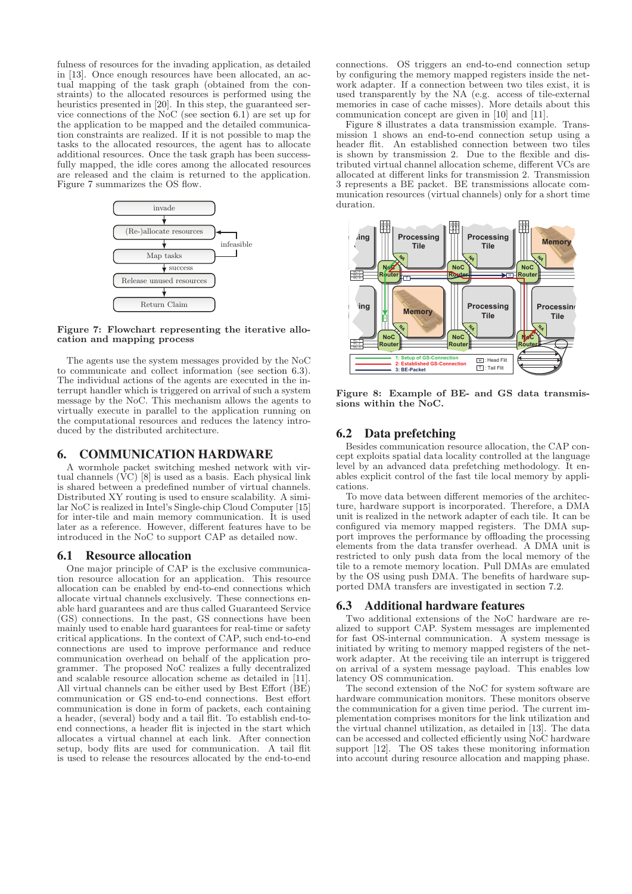fulness of resources for the invading application, as detailed in [13]. Once enough resources have been allocated, an actual mapping of the task graph (obtained from the constraints) to the allocated resources is performed using the heuristics presented in [20]. In this step, the guaranteed service connections of the NoC (see section 6.1) are set up for the application to be mapped and the detailed communication constraints are realized. If it is not possible to map the tasks to the allocated resources, the agent has to allocate additional resources. Once the task graph has been successfully mapped, the idle cores among the allocated resources are released and the claim is returned to the application. Figure 7 summarizes the OS flow.



**Figure 7: Flowchart representing the iterative allocation and mapping process**

The agents use the system messages provided by the NoC to communicate and collect information (see section 6.3). The individual actions of the agents are executed in the interrupt handler which is triggered on arrival of such a system message by the NoC. This mechanism allows the agents to virtually execute in parallel to the application running on the computational resources and reduces the latency introduced by the distributed architecture.

#### 6. COMMUNICATION HARDWARE

A wormhole packet switching meshed network with virtual channels  $(\overline{VC})$  [8] is used as a basis. Each physical link is shared between a predefined number of virtual channels. Distributed XY routing is used to ensure scalability. A similar NoC is realized in Intel's Single-chip Cloud Computer [15] for inter-tile and main memory communication. It is used later as a reference. However, different features have to be introduced in the NoC to support CAP as detailed now.

#### 6.1 Resource allocation

One major principle of CAP is the exclusive communication resource allocation for an application. This resource allocation can be enabled by end-to-end connections which allocate virtual channels exclusively. These connections enable hard guarantees and are thus called Guaranteed Service (GS) connections. In the past, GS connections have been mainly used to enable hard guarantees for real-time or safety critical applications. In the context of CAP, such end-to-end connections are used to improve performance and reduce communication overhead on behalf of the application programmer. The proposed NoC realizes a fully decentralized and scalable resource allocation scheme as detailed in [11]. All virtual channels can be either used by Best Effort (BE) communication or GS end-to-end connections. Best effort communication is done in form of packets, each containing a header, (several) body and a tail flit. To establish end-toend connections, a header flit is injected in the start which allocates a virtual channel at each link. After connection setup, body flits are used for communication. A tail flit is used to release the resources allocated by the end-to-end

connections. OS triggers an end-to-end connection setup by configuring the memory mapped registers inside the network adapter. If a connection between two tiles exist, it is used transparently by the NA (e.g. access of tile-external memories in case of cache misses). More details about this communication concept are given in [10] and [11].

Figure 8 illustrates a data transmission example. Transmission 1 shows an end-to-end connection setup using a header flit. An established connection between two tiles is shown by transmission 2. Due to the flexible and distributed virtual channel allocation scheme, different VCs are allocated at different links for transmission 2. Transmission 3 represents a BE packet. BE transmissions allocate communication resources (virtual channels) only for a short time duration.



**Figure 8: Example of BE- and GS data transmissions within the NoC.**

#### 6.2 Data prefetching

Besides communication resource allocation, the CAP concept exploits spatial data locality controlled at the language level by an advanced data prefetching methodology. It enables explicit control of the fast tile local memory by applications.

To move data between different memories of the architecture, hardware support is incorporated. Therefore, a DMA unit is realized in the network adapter of each tile. It can be configured via memory mapped registers. The DMA support improves the performance by offloading the processing elements from the data transfer overhead. A DMA unit is restricted to only push data from the local memory of the tile to a remote memory location. Pull DMAs are emulated by the OS using push DMA. The benefits of hardware supported DMA transfers are investigated in section 7.2.

#### 6.3 Additional hardware features

Two additional extensions of the NoC hardware are realized to support CAP. System messages are implemented for fast OS-internal communication. A system message is initiated by writing to memory mapped registers of the network adapter. At the receiving tile an interrupt is triggered on arrival of a system message payload. This enables low latency OS communication.

The second extension of the NoC for system software are hardware communication monitors. These monitors observe the communication for a given time period. The current implementation comprises monitors for the link utilization and the virtual channel utilization, as detailed in [13]. The data can be accessed and collected efficiently using NoC hardware support [12]. The OS takes these monitoring information into account during resource allocation and mapping phase.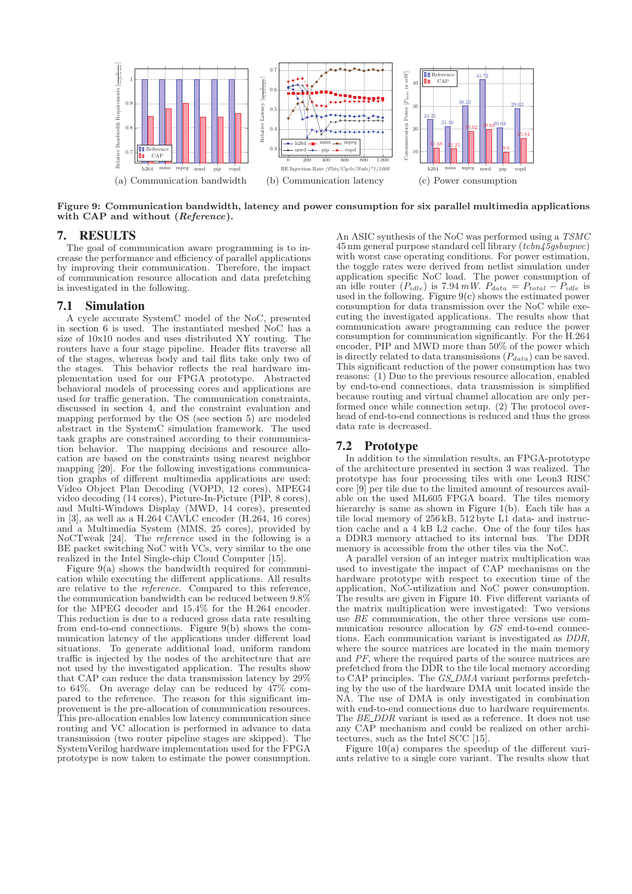

**Figure 9: Communication bandwidth, latency and power consumption for six parallel multimedia applications with CAP and without (***Reference***).**

#### 7. RESULTS

The goal of communication aware programming is to increase the performance and efficiency of parallel applications by improving their communication. Therefore, the impact of communication resource allocation and data prefetching is investigated in the following.

#### 7.1 Simulation

A cycle accurate SystemC model of the NoC, presented in section 6 is used. The instantiated meshed NoC has a size of 10x10 nodes and uses distributed XY routing. The routers have a four stage pipeline. Header flits traverse all of the stages, whereas body and tail flits take only two of the stages. This behavior reflects the real hardware implementation used for our FPGA prototype. Abstracted behavioral models of processing cores and applications are used for traffic generation. The communication constraints, discussed in section 4, and the constraint evaluation and mapping performed by the OS (see section 5) are modeled abstract in the SystemC simulation framework. The used task graphs are constrained according to their communication behavior. The mapping decisions and resource allocation are based on the constraints using nearest neighbor mapping [20]. For the following investigations communication graphs of different multimedia applications are used: Video Object Plan Decoding (VOPD, 12 cores), MPEG4 video decoding (14 cores), Picture-In-Picture (PIP, 8 cores), and Multi-Windows Display (MWD, 14 cores), presented in [3], as well as a H.264  $\overrightarrow{CAVLC}$  encoder (H.264, 16 cores) and a Multimedia System (MMS, 25 cores), provided by NoCTweak [24]. The reference used in the following is a BE packet switching NoC with VCs, very similar to the one realized in the Intel Single-chip Cloud Computer [15].

Figure 9(a) shows the bandwidth required for communication while executing the different applications. All results are relative to the reference. Compared to this reference, the communication bandwidth can be reduced between 9.8% for the MPEG decoder and 15.4% for the H.264 encoder. This reduction is due to a reduced gross data rate resulting from end-to-end connections. Figure 9(b) shows the communication latency of the applications under different load situations. To generate additional load, uniform random traffic is injected by the nodes of the architecture that are not used by the investigated application. The results show that CAP can reduce the data transmission latency by 29% to 64%. On average delay can be reduced by 47% compared to the reference. The reason for this significant improvement is the pre-allocation of communication resources. This pre-allocation enables low latency communication since routing and VC allocation is performed in advance to data transmission (two router pipeline stages are skipped). The SystemVerilog hardware implementation used for the FPGA prototype is now taken to estimate the power consumption.

An ASIC synthesis of the NoC was performed using a TSMC 45 nm general purpose standard cell library (tcbn45gsbwpwc) with worst case operating conditions. For power estimation, the toggle rates were derived from netlist simulation under application specific NoC load. The power consumption of an idle router  $(P_{idle})$  is 7.94 mW.  $P_{data} = P_{total} - P_{idle}$  is used in the following. Figure 9(c) shows the estimated power consumption for data transmission over the NoC while executing the investigated applications. The results show that communication aware programming can reduce the power consumption for communication significantly. For the H.264 encoder, PIP and MWD more than 50% of the power which is directly related to data transmissions  $(P_{data})$  can be saved. This significant reduction of the power consumption has two reasons: (1) Due to the previous resource allocation, enabled by end-to-end connections, data transmission is simplified because routing and virtual channel allocation are only performed once while connection setup. (2) The protocol overhead of end-to-end connections is reduced and thus the gross data rate is decreased.

#### 7.2 Prototype

In addition to the simulation results, an FPGA-prototype of the architecture presented in section 3 was realized. The prototype has four processing tiles with one Leon3 RISC core [9] per tile due to the limited amount of resources available on the used ML605 FPGA board. The tiles memory hierarchy is same as shown in Figure 1(b). Each tile has a tile local memory of 256 kB, 512 byte L1 data- and instruction cache and a 4 kB L2 cache. One of the four tiles has a DDR3 memory attached to its internal bus. The DDR memory is accessible from the other tiles via the NoC.

A parallel version of an integer matrix multiplication was used to investigate the impact of CAP mechanisms on the hardware prototype with respect to execution time of the application, NoC-utilization and NoC power consumption. The results are given in Figure 10. Five different variants of the matrix multiplication were investigated: Two versions use BE communication, the other three versions use communication resource allocation by GS end-to-end connections. Each communication variant is investigated as DDR, where the source matrices are located in the main memory and PF, where the required parts of the source matrices are prefetched from the DDR to the tile local memory according to CAP principles. The GS\_DMA variant performs prefetching by the use of the hardware DMA unit located inside the NA. The use of DMA is only investigated in combination with end-to-end connections due to hardware requirements. The BE DDR variant is used as a reference. It does not use any CAP mechanism and could be realized on other architectures, such as the Intel SCC [15].

Figure 10(a) compares the speedup of the different variants relative to a single core variant. The results show that